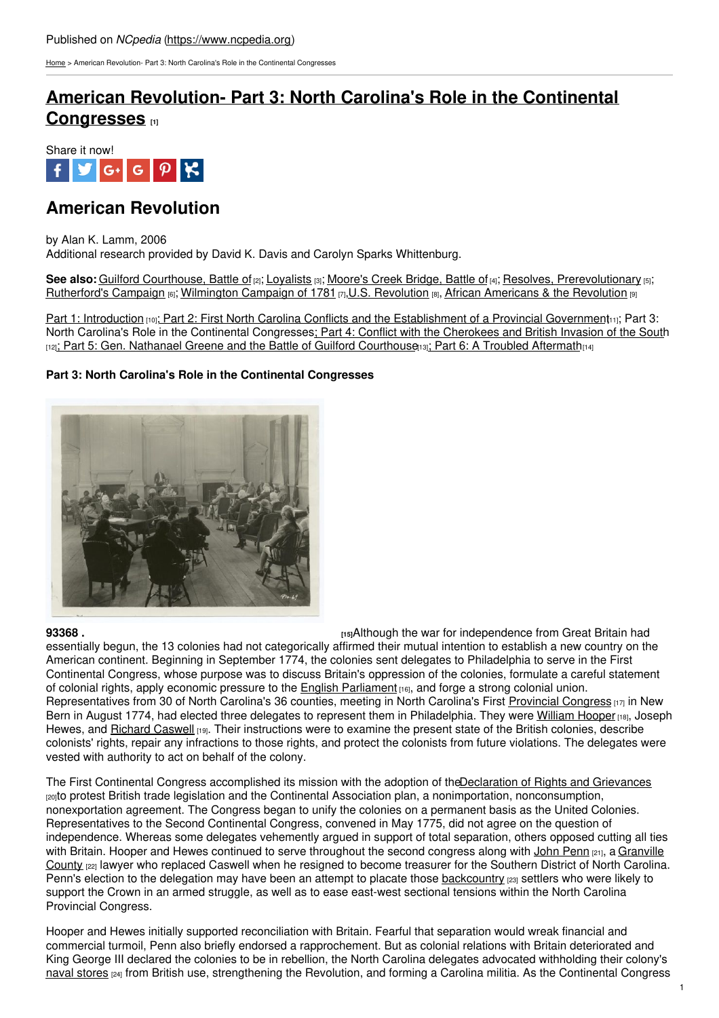[Home](https://www.ncpedia.org/) > American Revolution- Part 3: North Carolina's Role in the Continental Congresses

# **American Revolution- Part 3: North Carolina's Role in the [Continental](https://www.ncpedia.org/american-revolution-part-3-north-ca) Congresses [1]**



## **American Revolution**

#### by Alan K. Lamm, 2006

Additional research provided by David K. Davis and Carolyn Sparks Whittenburg.

See also: Guilford [Courthouse,](https://www.ncpedia.org/history/usrevolution/guilford-courthouse) Battle of [2]; [Loyalists](https://www.ncpedia.org/loyalists) [3]; [Moore's](https://www.ncpedia.org/moores-creek-bridge-battle) Creek Bridge, Battle of [4]; Resolves, [Prerevolutionary](https://www.ncpedia.org/resolves-prerevolutionary) [5]; [Rutherford's](https://www.ncpedia.org/rutherfords-campaign) Campaign [6]; [Wilmington](https://www.ncpedia.org/wilmington-campaign-1781) Campaign of 1781 [7], U.S. [Revolution](https://www.ncpedia.org/exploring-north-carolina-history) [8], African [Americans](https://www.ncpedia.org/history/usrevolution/african-americans) & the Revolution [9]

Part 1: [Introduction](https://www.ncpedia.org/american-revolution) [10]; Part 2: First North Carolina Conflicts and the [Establishment](https://ncpedia.org/american-revolution-part-2first-nor) of a Provincial Government[1]; Part 3: North Carolina's Role in the Continental [Congresses;](http://www.social9.com) Part 4: Conflict with the [Cherokees](https://ncpedia.org/american-revolution-part-4-conflict) and British Invasion of the South [12]; Part 5: Gen. Nathanael Greene and the Battle of Guilford [Courthouse](https://ncpedia.org/american-revolution-part-5-gen-nath)(3); Part 6: A Troubled [Aftermath](https://ncpedia.org/american-revolution-part-6-troubled) $_{[14]}$ 

## **Part 3: North Carolina's Role in the Continental Congresses**



**[93368](http://digitalgallery.nypl.org/nypldigital/dgkeysearchdetail.cfm?strucID=132110&imageID=93368&k=0&print=small) . 1598 . 1598 . 1598 . 1598 . 1598 1598 1598 1598 1599 1599 1599 1599 1599 1599 1599 1599 1599 1599 1599 1599 1599 1599 1599 1599 1599 1599 1599 1599** 

essentially begun, the 13 colonies had not categorically affirmed their mutual intention to establish a new country on the American continent. Beginning in September 1774, the colonies sent delegates to Philadelphia to serve in the First Continental Congress, whose purpose was to discuss Britain's oppression of the colonies, formulate a careful statement of colonial rights, apply economic pressure to the English [Parliament](http://www.parliament.uk/) [16], and forge a strong colonial union. Representatives from 30 of North Carolina's 36 counties, meeting in North Carolina's First [Provincial](https://www.ncpedia.org/provincial-congresses) Congress [17] in New Bern in August 1774, had elected three delegates to represent them in Philadelphia. They were [William](https://www.ncpedia.org/biography/hooper-william) Hooper [18], Joseph Hewes, and Richard [Caswell](https://www.ncpedia.org/biography/caswell-richard-0) [19]. Their instructions were to examine the present state of the British colonies, describe colonists' rights, repair any infractions to those rights, and protect the colonists from future violations. The delegates were vested with authority to act on behalf of the colony.

The First Continental Congress accomplished its mission with the adoption of the Declaration of Rights and Grievances [20]to protest British trade legislation and the Continental Association plan, a nonimportation, nonconsumption, nonexportation agreement. The Congress began to unify the colonies on a permanent basis as the United Colonies. Representatives to the Second Continental Congress, convened in May 1775, did not agree on the question of independence. Whereas some delegates vehemently argued in support of total separation, others opposed cutting all ties with Britain. Hooper and Hewes continued to serve [throughout](https://www.ncpedia.org/geography/granville) the second congress along with John [Penn](https://www.ncpedia.org/biography/penn-john) [21], a Granville County [22] lawyer who replaced Caswell when he resigned to become treasurer for the Southern District of North Carolina. Penn's election to the delegation may have been an attempt to placate those [backcountry](https://www.ncpedia.org/backcountry) [23] settlers who were likely to support the Crown in an armed struggle, as well as to ease east-west sectional tensions within the North Carolina Provincial Congress.

Hooper and Hewes initially supported reconciliation with Britain. Fearful that separation would wreak financial and commercial turmoil, Penn also briefly endorsed a rapprochement. But as colonial relations with Britain deteriorated and King George III declared the colonies to be in rebellion, the North Carolina delegates advocated withholding their colony's naval [stores](https://www.ncpedia.org/naval-stores) <sub>[24]</sub> from British use, strengthening the Revolution, and forming a Carolina militia. As the Continental Congress